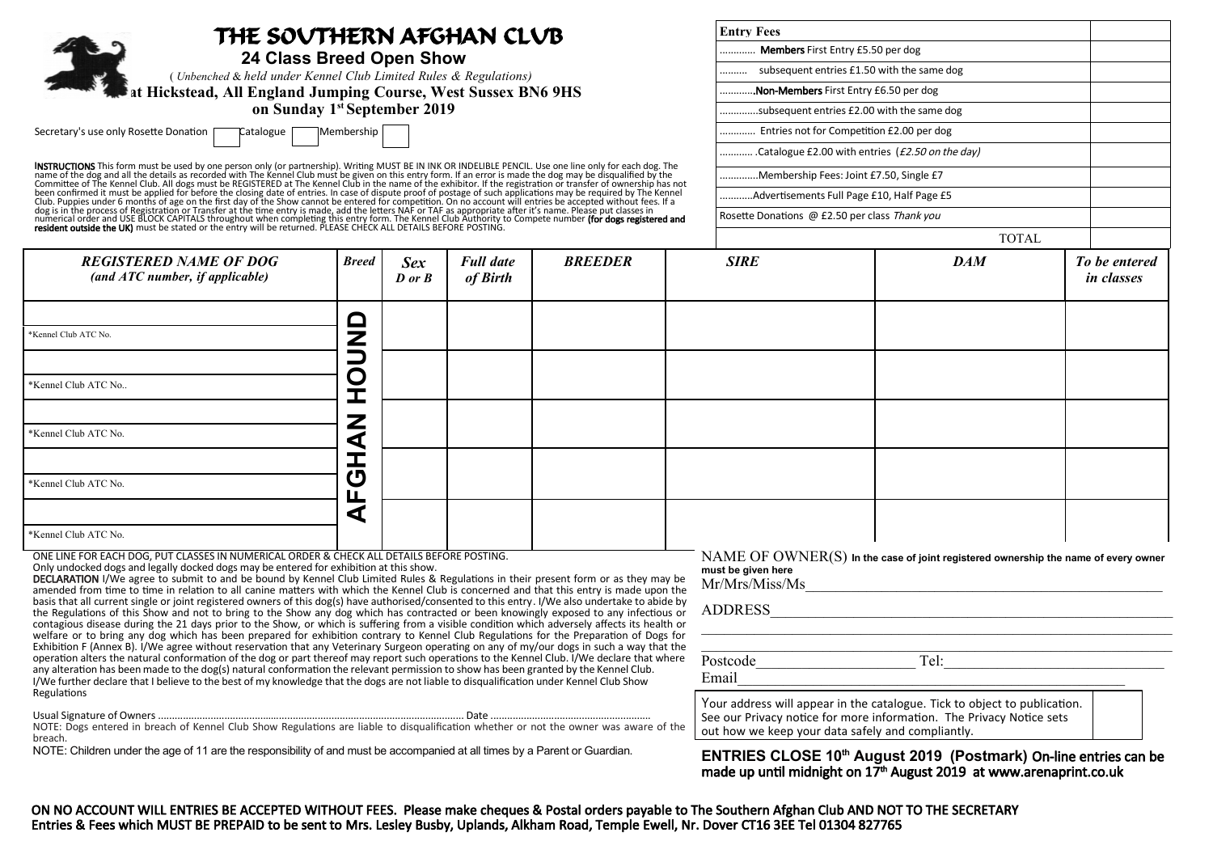| THE SOVTHERN AFGHAN CLVB<br>24 Class Breed Open Show                    | <b>Entry Fees</b>                               |  |  |
|-------------------------------------------------------------------------|-------------------------------------------------|--|--|
|                                                                         | Members First Entry £5.50 per dog               |  |  |
| (Unbenched & held under Kennel Club Limited Rules & Regulations)        | subsequent entries £1.50 with the same dog      |  |  |
| at Hickstead, All England Jumping Course, West Sussex BN6 9HS           | Non-Members First Entry £6.50 per dog           |  |  |
| on Sunday 1 <sup>st</sup> September 2019                                | subsequent entries £2.00 with the same dog      |  |  |
| Secretary's use only Rosette Donation [<br>Membership  <br>TCatalogue [ | Entries not for Competition £2.00 per dog       |  |  |
|                                                                         | Catalogue £2.00 with entries (£2.50 on the day) |  |  |

**INSTRUCTIONS** This form must be used by one person only (or partnership). Writing MUST BE IN INK OR INDELIBLE PENCIL. Use one line only for each dog. The<br>name of the dog and all the details as recorded with The Kennel Clu

|                                                                  |              |                                                    |                              |                |             | TOTAL      |                             |
|------------------------------------------------------------------|--------------|----------------------------------------------------|------------------------------|----------------|-------------|------------|-----------------------------|
| <b>REGISTERED NAME OF DOG</b><br>(and ATC number, if applicable) | <b>Breed</b> | <b>Sex</b><br>$\boldsymbol{D}$ or $\boldsymbol{B}$ | <b>Full date</b><br>of Birth | <b>BREEDER</b> | <b>SIRE</b> | <b>DAM</b> | To be entered<br>in classes |
| *Kennel Club ATC No.                                             | $\Box$<br>Z  |                                                    |                              |                |             |            |                             |
| *Kennel Club ATC No                                              |              |                                                    |                              |                |             |            |                             |
| *Kennel Club ATC No.                                             | 7            |                                                    |                              |                |             |            |                             |
| *Kennel Club ATC No.                                             | ෆ<br>ட       |                                                    |                              |                |             |            |                             |
| *Kennel Club ATC No.                                             | a            |                                                    |                              |                |             |            |                             |

ONE LINE FOR EACH DOG, PUT CLASSES IN NUMERICAL ORDER & CHECK ALL DETAILS BEFORE POSTING.

Only undocked dogs and legally docked dogs may be entered for exhibition at this show.

DECLARATION I/We agree to submit to and be bound by Kennel Club Limited Rules & Regulations in their present form or as they may be amended from time to time in relation to all canine matters with which the Kennel Club is concerned and that this entry is made upon the basis that all current single or joint registered owners of this dog(s) have authorised/consented to this entry. I/We also undertake to abide by the Regulations of this Show and not to bring to the Show any dog which has contracted or been knowingly exposed to any infectious or contagious disease during the 21 days prior to the Show, or which is suffering from a visible condition which adversely affects its health or welfare or to bring any dog which has been prepared for exhibition contrary to Kennel Club Regulations for the Preparation of Dogs for Exhibition F (Annex B). I/We agree without reservation that any Veterinary Surgeon operating on any of my/our dogs in such a way that the operation alters the natural conformation of the dog or part thereof may report such operations to the Kennel Club. I/We declare that where any alteration has been made to the dog(s) natural conformation the relevant permission to show has been granted by the Kennel Club. I/We further declare that I believe to the best of my knowledge that the dogs are not liable to disqualification under Kennel Club Show Regulations

Usual Signature of Owners ......................................……................................................................... Date ..........................................................

NOTE: Dogs entered in breach of Kennel Club Show Regulations are liable to disqualification whether or not the owner was aware of the breach.

NOTE: Children under the age of 11 are the responsibility of and must be accompanied at all times by a Parent or Guardian.

NAME OF OWNER(S) **In the case of joint registered ownership the name of every owner must be given here** Mr/Mrs/Miss/Ms\_\_\_\_\_\_\_\_\_\_\_\_\_\_\_\_\_\_\_\_\_\_\_\_\_\_\_\_\_\_\_\_\_\_\_\_\_\_\_\_\_\_\_\_\_\_\_

\_\_\_\_\_\_\_\_\_\_\_\_\_\_\_\_\_\_\_\_\_\_\_\_\_\_\_\_\_\_\_\_\_\_\_\_\_\_\_\_\_\_\_\_\_\_\_\_\_\_\_\_\_\_\_\_\_\_\_\_\_\_ \_\_\_\_\_\_\_\_\_\_\_\_\_\_\_\_\_\_\_\_\_\_\_\_\_\_\_\_\_\_\_\_\_\_\_\_\_\_\_\_\_\_\_\_\_\_\_\_\_\_\_\_\_\_\_\_\_\_\_\_\_\_

ADDRESS\_\_\_\_\_\_\_\_\_\_\_\_\_\_\_\_\_\_\_\_\_\_\_\_\_\_\_\_\_\_\_\_\_\_\_\_\_\_\_\_\_\_\_\_\_\_\_\_\_\_\_\_\_

Postcode\_\_\_\_\_\_\_\_\_\_\_\_\_\_\_\_\_\_\_\_\_ Tel:\_\_\_\_\_\_\_\_\_\_\_\_\_\_\_\_\_\_\_\_\_\_\_\_\_\_\_\_\_

Email

Your address will appear in the catalogue. Tick to object to publication. See our Privacy notice for more information. The Privacy Notice sets out how we keep your data safely and compliantly.

.Membership Fees: Joint £7.50, Single £7 ...Advertisements Full Page £10, Half Page £5 Rosette Donations @ £2.50 per class Thank you

**ENTRIES CLOSE 10th August 2019 (Postmark)** On-line entries can be made up until midnight on 17<sup>th</sup> August 2019 at [www.arenaprint.co.uk](http://www.arenaprint.co.uk/)

ON NO ACCOUNT WILL ENTRIES BE ACCEPTED WITHOUT FEES. Please make cheques & Postal orders payable to The Southern Afghan Club AND NOT TO THE SECRETARY Entries & Fees which MUST BE PREPAID to be sent to Mrs. Lesley Busby, Uplands, Alkham Road, Temple Ewell, Nr. Dover CT16 3EE Tel 01304 827765